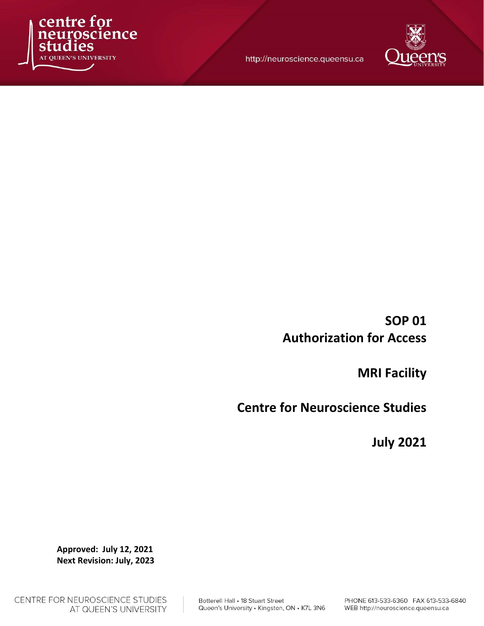

http://neuroscience.queensu.ca



SOP 01 Authorization for Access

MRI Facility

Centre for Neuroscience Studies

July 2021

Approved: July 12, 2021 Next Revision: July, 2023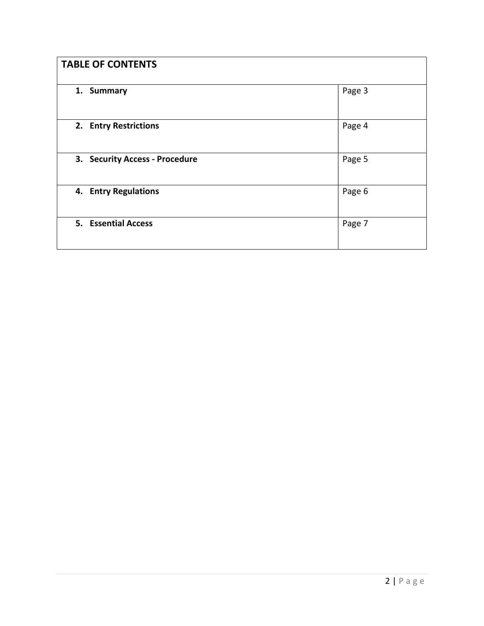| <b>TABLE OF CONTENTS</b>       |        |
|--------------------------------|--------|
| 1. Summary                     | Page 3 |
| 2. Entry Restrictions          | Page 4 |
| 3. Security Access - Procedure | Page 5 |
| 4. Entry Regulations           | Page 6 |
| 5. Essential Access            | Page 7 |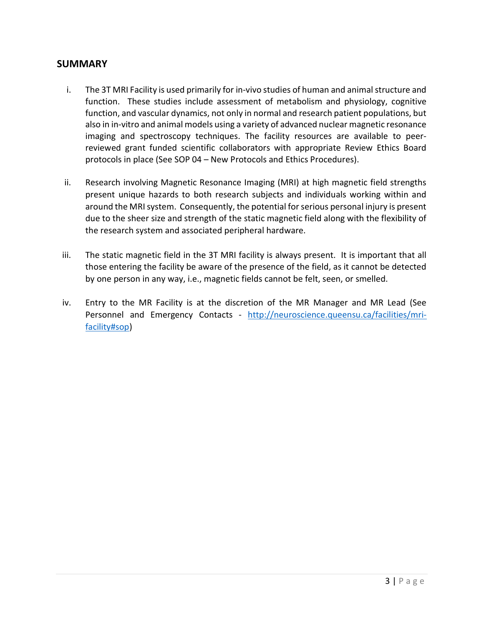#### **SUMMARY**

- i. The 3T MRI Facility is used primarily for in-vivo studies of human and animal structure and function. These studies include assessment of metabolism and physiology, cognitive function, and vascular dynamics, not only in normal and research patient populations, but also in in-vitro and animal models using a variety of advanced nuclear magnetic resonance imaging and spectroscopy techniques. The facility resources are available to peerreviewed grant funded scientific collaborators with appropriate Review Ethics Board protocols in place (See SOP 04 – New Protocols and Ethics Procedures).
- ii. Research involving Magnetic Resonance Imaging (MRI) at high magnetic field strengths present unique hazards to both research subjects and individuals working within and around the MRI system. Consequently, the potential for serious personal injury is present due to the sheer size and strength of the static magnetic field along with the flexibility of the research system and associated peripheral hardware.
- iii. The static magnetic field in the 3T MRI facility is always present. It is important that all those entering the facility be aware of the presence of the field, as it cannot be detected by one person in any way, i.e., magnetic fields cannot be felt, seen, or smelled.
- iv. Entry to the MR Facility is at the discretion of the MR Manager and MR Lead (See Personnel and Emergency Contacts - http://neuroscience.queensu.ca/facilities/mrifacility#sop)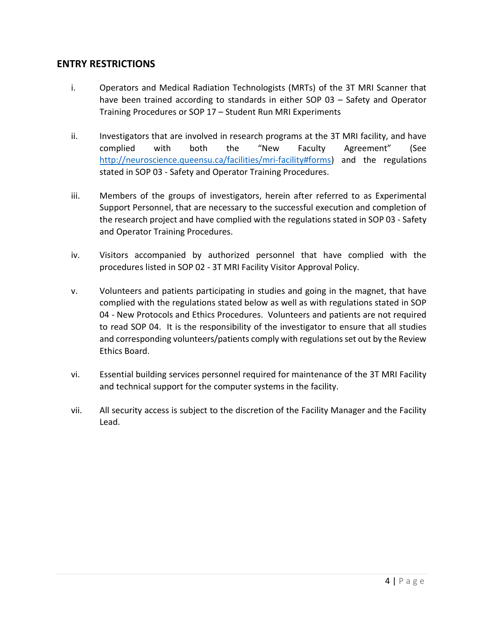## ENTRY RESTRICTIONS

- i. Operators and Medical Radiation Technologists (MRTs) of the 3T MRI Scanner that have been trained according to standards in either SOP 03 – Safety and Operator Training Procedures or SOP 17 – Student Run MRI Experiments
- ii. Investigators that are involved in research programs at the 3T MRI facility, and have complied with both the "New Faculty Agreement" (See http://neuroscience.queensu.ca/facilities/mri-facility#forms) and the regulations stated in SOP 03 - Safety and Operator Training Procedures.
- iii. Members of the groups of investigators, herein after referred to as Experimental Support Personnel, that are necessary to the successful execution and completion of the research project and have complied with the regulations stated in SOP 03 - Safety and Operator Training Procedures.
- iv. Visitors accompanied by authorized personnel that have complied with the procedures listed in SOP 02 - 3T MRI Facility Visitor Approval Policy.
- v. Volunteers and patients participating in studies and going in the magnet, that have complied with the regulations stated below as well as with regulations stated in SOP 04 - New Protocols and Ethics Procedures. Volunteers and patients are not required to read SOP 04. It is the responsibility of the investigator to ensure that all studies and corresponding volunteers/patients comply with regulations set out by the Review Ethics Board.
- vi. Essential building services personnel required for maintenance of the 3T MRI Facility and technical support for the computer systems in the facility.
- vii. All security access is subject to the discretion of the Facility Manager and the Facility Lead.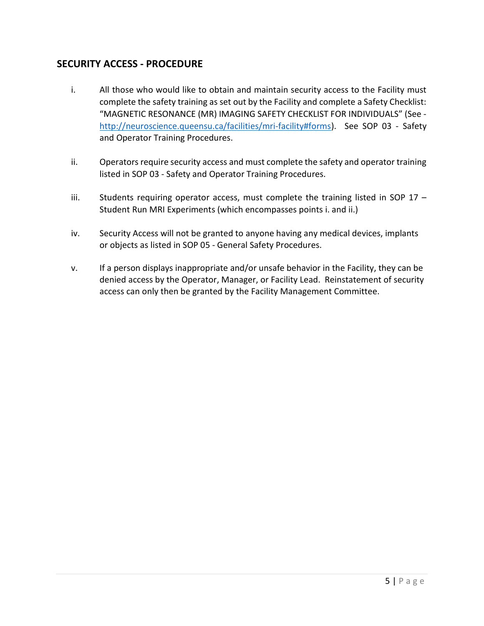# SECURITY ACCESS - PROCEDURE

- i. All those who would like to obtain and maintain security access to the Facility must complete the safety training as set out by the Facility and complete a Safety Checklist: "MAGNETIC RESONANCE (MR) IMAGING SAFETY CHECKLIST FOR INDIVIDUALS" (See http://neuroscience.queensu.ca/facilities/mri-facility#forms). See SOP 03 - Safety and Operator Training Procedures.
- ii. Operators require security access and must complete the safety and operator training listed in SOP 03 - Safety and Operator Training Procedures.
- iii. Students requiring operator access, must complete the training listed in SOP 17 Student Run MRI Experiments (which encompasses points i. and ii.)
- iv. Security Access will not be granted to anyone having any medical devices, implants or objects as listed in SOP 05 - General Safety Procedures.
- v. If a person displays inappropriate and/or unsafe behavior in the Facility, they can be denied access by the Operator, Manager, or Facility Lead. Reinstatement of security access can only then be granted by the Facility Management Committee.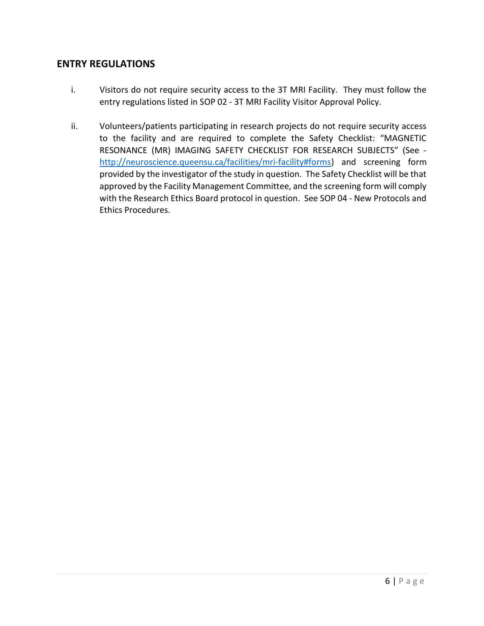### ENTRY REGULATIONS

- i. Visitors do not require security access to the 3T MRI Facility. They must follow the entry regulations listed in SOP 02 - 3T MRI Facility Visitor Approval Policy.
- ii. Volunteers/patients participating in research projects do not require security access to the facility and are required to complete the Safety Checklist: "MAGNETIC RESONANCE (MR) IMAGING SAFETY CHECKLIST FOR RESEARCH SUBJECTS" (See http://neuroscience.queensu.ca/facilities/mri-facility#forms) and screening form provided by the investigator of the study in question. The Safety Checklist will be that approved by the Facility Management Committee, and the screening form will comply with the Research Ethics Board protocol in question. See SOP 04 - New Protocols and Ethics Procedures.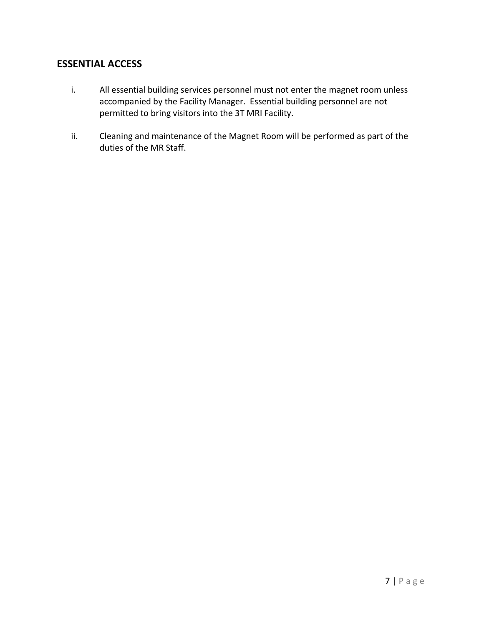# ESSENTIAL ACCESS

- i. All essential building services personnel must not enter the magnet room unless accompanied by the Facility Manager. Essential building personnel are not permitted to bring visitors into the 3T MRI Facility.
- ii. Cleaning and maintenance of the Magnet Room will be performed as part of the duties of the MR Staff.